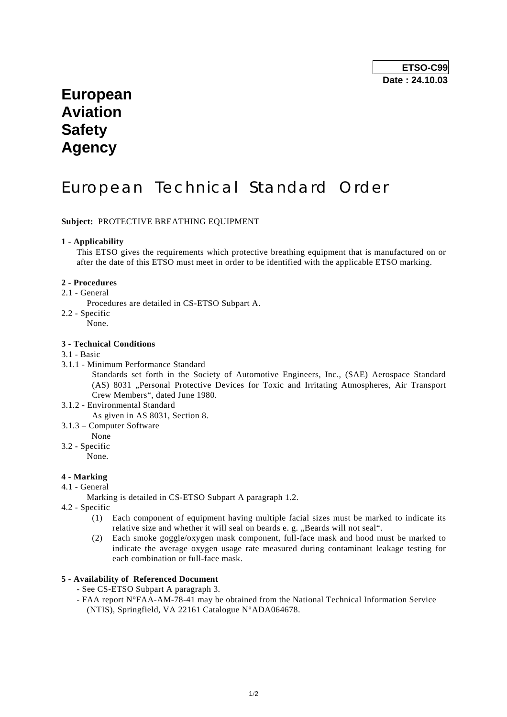# **European Aviation Safety Agency**

# European Technical Standard Order

### **Subject:** PROTECTIVE BREATHING EQUIPMENT

#### **1 - Applicability**

 This ETSO gives the requirements which protective breathing equipment that is manufactured on or after the date of this ETSO must meet in order to be identified with the applicable ETSO marking.

#### **2 - Procedures**

- 2.1 General
	- Procedures are detailed in CS-ETSO Subpart A.
- 2.2 Specific
- None.

#### **3 - Technical Conditions**

#### 3.1 - Basic

3.1.1 - Minimum Performance Standard

 Standards set forth in the Society of Automotive Engineers, Inc., (SAE) Aerospace Standard (AS) 8031 "Personal Protective Devices for Toxic and Irritating Atmospheres, Air Transport Crew Members", dated June 1980.

- 3.1.2 Environmental Standard
- As given in AS 8031, Section 8.
- 3.1.3 Computer Software
	- None
- 3.2 Specific
	- None.

#### **4 - Marking**

4.1 - General

Marking is detailed in CS-ETSO Subpart A paragraph 1.2.

- 4.2 Specific
	- (1) Each component of equipment having multiple facial sizes must be marked to indicate its relative size and whether it will seal on beards e. g. ..Beards will not seal".
	- (2) Each smoke goggle/oxygen mask component, full-face mask and hood must be marked to indicate the average oxygen usage rate measured during contaminant leakage testing for each combination or full-face mask.

### **5 - Availability of Referenced Document**

- See CS-ETSO Subpart A paragraph 3.
- FAA report N°FAA-AM-78-41 may be obtained from the National Technical Information Service (NTIS), Springfield, VA 22161 Catalogue N°ADA064678.